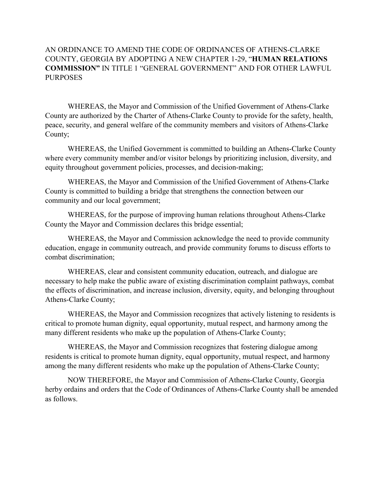## AN ORDINANCE TO AMEND THE CODE OF ORDINANCES OF ATHENS-CLARKE COUNTY, GEORGIA BY ADOPTING A NEW CHAPTER 1-29, "**HUMAN RELATIONS COMMISSION"** IN TITLE 1 "GENERAL GOVERNMENT" AND FOR OTHER LAWFUL **PURPOSES**

WHEREAS, the Mayor and Commission of the Unified Government of Athens-Clarke County are authorized by the Charter of Athens-Clarke County to provide for the safety, health, peace, security, and general welfare of the community members and visitors of Athens-Clarke County;

WHEREAS, the Unified Government is committed to building an Athens-Clarke County where every community member and/or visitor belongs by prioritizing inclusion, diversity, and equity throughout government policies, processes, and decision-making;

WHEREAS, the Mayor and Commission of the Unified Government of Athens-Clarke County is committed to building a bridge that strengthens the connection between our community and our local government;

WHEREAS, for the purpose of improving human relations throughout Athens-Clarke County the Mayor and Commission declares this bridge essential;

WHEREAS, the Mayor and Commission acknowledge the need to provide community education, engage in community outreach, and provide community forums to discuss efforts to combat discrimination;

WHEREAS, clear and consistent community education, outreach, and dialogue are necessary to help make the public aware of existing discrimination complaint pathways, combat the effects of discrimination, and increase inclusion, diversity, equity, and belonging throughout Athens-Clarke County;

WHEREAS, the Mayor and Commission recognizes that actively listening to residents is critical to promote human dignity, equal opportunity, mutual respect, and harmony among the many different residents who make up the population of Athens-Clarke County;

WHEREAS, the Mayor and Commission recognizes that fostering dialogue among residents is critical to promote human dignity, equal opportunity, mutual respect, and harmony among the many different residents who make up the population of Athens-Clarke County;

NOW THEREFORE, the Mayor and Commission of Athens-Clarke County, Georgia herby ordains and orders that the Code of Ordinances of Athens-Clarke County shall be amended as follows.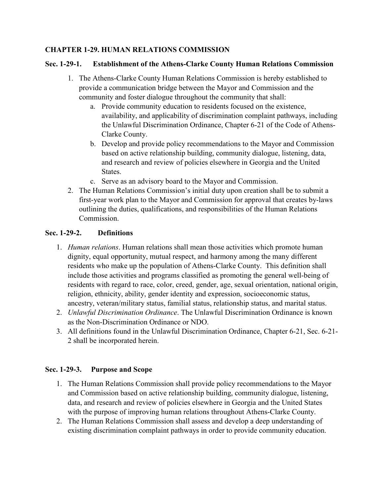## **CHAPTER 1-29. HUMAN RELATIONS COMMISSION**

## **Sec. 1-29-1. Establishment of the Athens-Clarke County Human Relations Commission**

- 1. The Athens-Clarke County Human Relations Commission is hereby established to provide a communication bridge between the Mayor and Commission and the community and foster dialogue throughout the community that shall:
	- a. Provide community education to residents focused on the existence, availability, and applicability of discrimination complaint pathways, including the Unlawful Discrimination Ordinance, Chapter 6-21 of the Code of Athens-Clarke County.
	- b. Develop and provide policy recommendations to the Mayor and Commission based on active relationship building, community dialogue, listening, data, and research and review of policies elsewhere in Georgia and the United States.
	- c. Serve as an advisory board to the Mayor and Commission.
- 2. The Human Relations Commission's initial duty upon creation shall be to submit a first-year work plan to the Mayor and Commission for approval that creates by-laws outlining the duties, qualifications, and responsibilities of the Human Relations Commission.

# **Sec. 1-29-2. Definitions**

- 1. *Human relations*. Human relations shall mean those activities which promote human dignity, equal opportunity, mutual respect, and harmony among the many different residents who make up the population of Athens-Clarke County. This definition shall include those activities and programs classified as promoting the general well-being of residents with regard to race, color, creed, gender, age, sexual orientation, national origin, religion, ethnicity, ability, gender identity and expression, socioeconomic status, ancestry, veteran/military status, familial status, relationship status, and marital status.
- 2. *Unlawful Discrimination Ordinance*. The Unlawful Discrimination Ordinance is known as the Non-Discrimination Ordinance or NDO.
- 3. All definitions found in the Unlawful Discrimination Ordinance, Chapter 6-21, Sec. 6-21- 2 shall be incorporated herein.

# **Sec. 1-29-3. Purpose and Scope**

- 1. The Human Relations Commission shall provide policy recommendations to the Mayor and Commission based on active relationship building, community dialogue, listening, data, and research and review of policies elsewhere in Georgia and the United States with the purpose of improving human relations throughout Athens-Clarke County.
- 2. The Human Relations Commission shall assess and develop a deep understanding of existing discrimination complaint pathways in order to provide community education.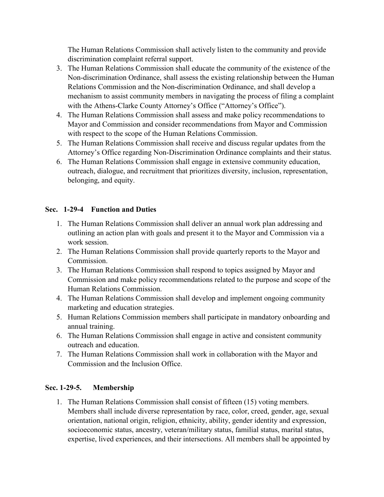The Human Relations Commission shall actively listen to the community and provide discrimination complaint referral support.

- 3. The Human Relations Commission shall educate the community of the existence of the Non-discrimination Ordinance, shall assess the existing relationship between the Human Relations Commission and the Non-discrimination Ordinance, and shall develop a mechanism to assist community members in navigating the process of filing a complaint with the Athens-Clarke County Attorney's Office ("Attorney's Office").
- 4. The Human Relations Commission shall assess and make policy recommendations to Mayor and Commission and consider recommendations from Mayor and Commission with respect to the scope of the Human Relations Commission.
- 5. The Human Relations Commission shall receive and discuss regular updates from the Attorney's Office regarding Non-Discrimination Ordinance complaints and their status.
- 6. The Human Relations Commission shall engage in extensive community education, outreach, dialogue, and recruitment that prioritizes diversity, inclusion, representation, belonging, and equity.

# **Sec. 1-29-4 Function and Duties**

- 1. The Human Relations Commission shall deliver an annual work plan addressing and outlining an action plan with goals and present it to the Mayor and Commission via a work session.
- 2. The Human Relations Commission shall provide quarterly reports to the Mayor and Commission.
- 3. The Human Relations Commission shall respond to topics assigned by Mayor and Commission and make policy recommendations related to the purpose and scope of the Human Relations Commission.
- 4. The Human Relations Commission shall develop and implement ongoing community marketing and education strategies.
- 5. Human Relations Commission members shall participate in mandatory onboarding and annual training.
- 6. The Human Relations Commission shall engage in active and consistent community outreach and education.
- 7. The Human Relations Commission shall work in collaboration with the Mayor and Commission and the Inclusion Office.

# **Sec. 1-29-5. Membership**

1. The Human Relations Commission shall consist of fifteen (15) voting members. Members shall include diverse representation by race, color, creed, gender, age, sexual orientation, national origin, religion, ethnicity, ability, gender identity and expression, socioeconomic status, ancestry, veteran/military status, familial status, marital status, expertise, lived experiences, and their intersections. All members shall be appointed by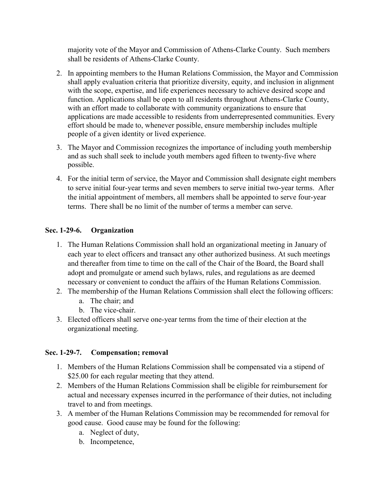majority vote of the Mayor and Commission of Athens-Clarke County. Such members shall be residents of Athens-Clarke County.

- 2. In appointing members to the Human Relations Commission, the Mayor and Commission shall apply evaluation criteria that prioritize diversity, equity, and inclusion in alignment with the scope, expertise, and life experiences necessary to achieve desired scope and function. Applications shall be open to all residents throughout Athens-Clarke County, with an effort made to collaborate with community organizations to ensure that applications are made accessible to residents from underrepresented communities. Every effort should be made to, whenever possible, ensure membership includes multiple people of a given identity or lived experience.
- 3. The Mayor and Commission recognizes the importance of including youth membership and as such shall seek to include youth members aged fifteen to twenty-five where possible.
- 4. For the initial term of service, the Mayor and Commission shall designate eight members to serve initial four-year terms and seven members to serve initial two-year terms. After the initial appointment of members, all members shall be appointed to serve four-year terms. There shall be no limit of the number of terms a member can serve.

# **Sec. 1-29-6. Organization**

- 1. The Human Relations Commission shall hold an organizational meeting in January of each year to elect officers and transact any other authorized business. At such meetings and thereafter from time to time on the call of the Chair of the Board, the Board shall adopt and promulgate or amend such bylaws, rules, and regulations as are deemed necessary or convenient to conduct the affairs of the Human Relations Commission.
- 2. The membership of the Human Relations Commission shall elect the following officers:
	- a. The chair; and
	- b. The vice-chair.
- 3. Elected officers shall serve one-year terms from the time of their election at the organizational meeting.

### **Sec. 1-29-7. Compensation; removal**

- 1. Members of the Human Relations Commission shall be compensated via a stipend of \$25.00 for each regular meeting that they attend.
- 2. Members of the Human Relations Commission shall be eligible for reimbursement for actual and necessary expenses incurred in the performance of their duties, not including travel to and from meetings.
- 3. A member of the Human Relations Commission may be recommended for removal for good cause. Good cause may be found for the following:
	- a. Neglect of duty,
	- b. Incompetence,